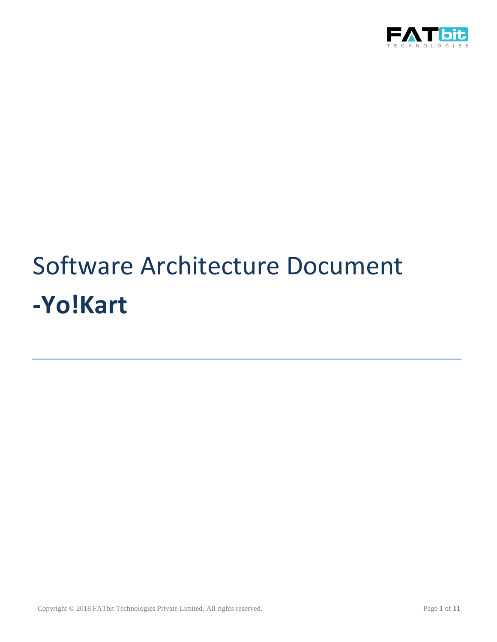

# Software Architecture Document **-Yo!Kart**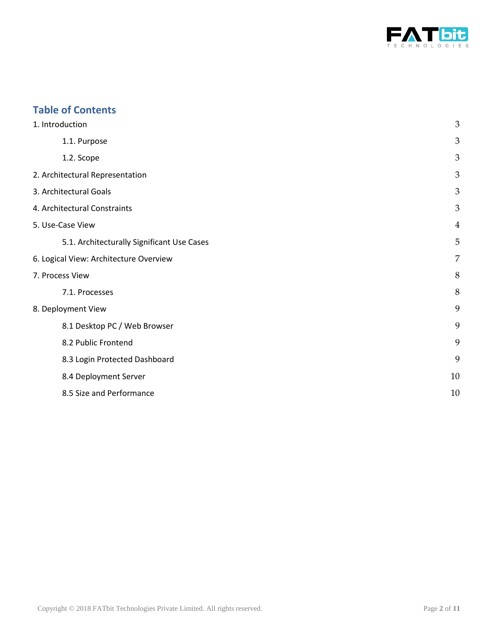

## **Table of Contents**

| 1. Introduction                            | $\mathfrak{Z}$ |
|--------------------------------------------|----------------|
| 1.1. Purpose                               | 3              |
| 1.2. Scope                                 | $\mathfrak{B}$ |
| 2. Architectural Representation            | 3              |
| 3. Architectural Goals                     | 3              |
| 4. Architectural Constraints               | 3              |
| 5. Use-Case View                           | 4              |
| 5.1. Architecturally Significant Use Cases | 5              |
| 6. Logical View: Architecture Overview     | $\overline{7}$ |
| 7. Process View                            | 8              |
| 7.1. Processes                             | 8              |
| 8. Deployment View                         | 9              |
| 8.1 Desktop PC / Web Browser               | 9              |
| 8.2 Public Frontend                        | 9              |
| 8.3 Login Protected Dashboard              | 9              |
| 8.4 Deployment Server                      | 10             |
| 8.5 Size and Performance                   | 10             |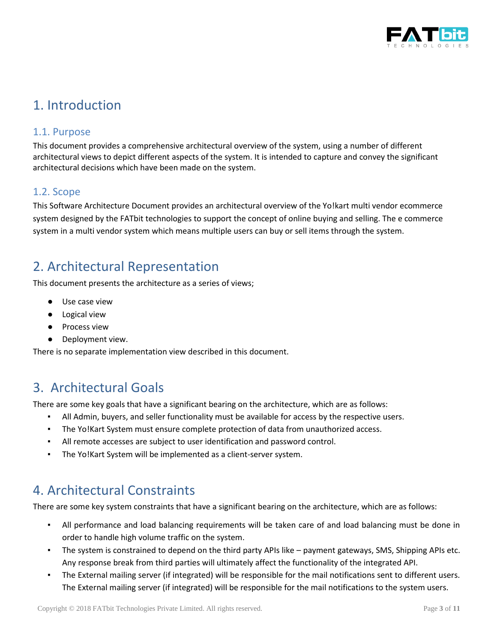

# <span id="page-2-0"></span>1. Introduction

### <span id="page-2-1"></span>1.1. Purpose

This document provides a comprehensive architectural overview of the system, using a number of different architectural views to depict different aspects of the system. It is intended to capture and convey the significant architectural decisions which have been made on the system.

### <span id="page-2-2"></span>1.2. Scope

This Software Architecture Document provides an architectural overview of the Yo!kart multi vendor ecommerce system designed by the FATbit technologies to support the concept of online buying and selling. The e commerce system in a multi vendor system which means multiple users can buy or sell items through the system.

# <span id="page-2-3"></span>2. Architectural Representation

This document presents the architecture as a series of views;

- Use case view
- Logical view
- Process view
- Deployment view.

There is no separate implementation view described in this document.

# <span id="page-2-4"></span>3. Architectural Goals

There are some key goals that have a significant bearing on the architecture, which are as follows:

- All Admin, buyers, and seller functionality must be available for access by the respective users.
- The Yo!Kart System must ensure complete protection of data from unauthorized access.
- All remote accesses are subject to user identification and password control.
- The Yo!Kart System will be implemented as a client-server system.

# <span id="page-2-5"></span>4. Architectural Constraints

There are some key system constraints that have a significant bearing on the architecture, which are as follows:

- All performance and load balancing requirements will be taken care of and load balancing must be done in order to handle high volume traffic on the system.
- The system is constrained to depend on the third party APIs like payment gateways, SMS, Shipping APIs etc. Any response break from third parties will ultimately affect the functionality of the integrated API.
- The External mailing server (if integrated) will be responsible for the mail notifications sent to different users. The External mailing server (if integrated) will be responsible for the mail notifications to the system users.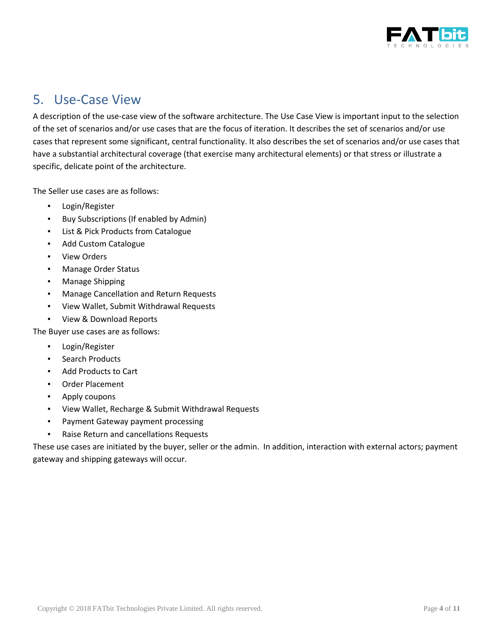

# <span id="page-3-0"></span>5. Use-Case View

A description of the use-case view of the software architecture. The Use Case View is important input to the selection of the set of scenarios and/or use cases that are the focus of iteration. It describes the set of scenarios and/or use cases that represent some significant, central functionality. It also describes the set of scenarios and/or use cases that have a substantial architectural coverage (that exercise many architectural elements) or that stress or illustrate a specific, delicate point of the architecture.

The Seller use cases are as follows:

- Login/Register
- Buy Subscriptions (If enabled by Admin)
- List & Pick Products from Catalogue
- Add Custom Catalogue
- View Orders
- Manage Order Status
- Manage Shipping
- Manage Cancellation and Return Requests
- View Wallet, Submit Withdrawal Requests
- View & Download Reports

The Buyer use cases are as follows:

- Login/Register
- Search Products
- Add Products to Cart
- Order Placement
- Apply coupons
- View Wallet, Recharge & Submit Withdrawal Requests
- Payment Gateway payment processing
- Raise Return and cancellations Requests

These use cases are initiated by the buyer, seller or the admin. In addition, interaction with external actors; payment gateway and shipping gateways will occur.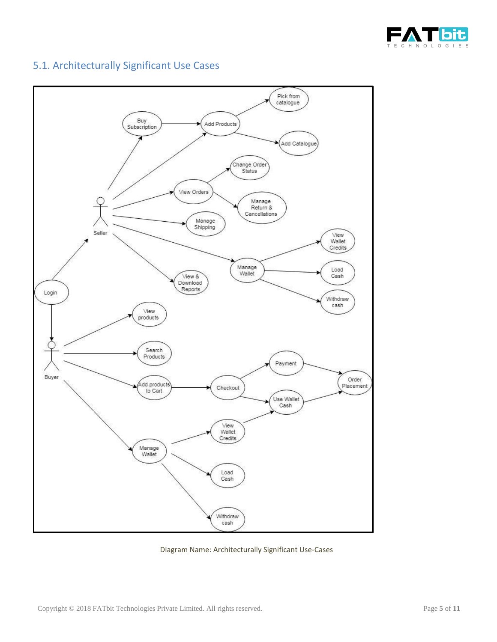



### <span id="page-4-0"></span>5.1. Architecturally Significant Use Cases

Diagram Name: Architecturally Significant Use-Cases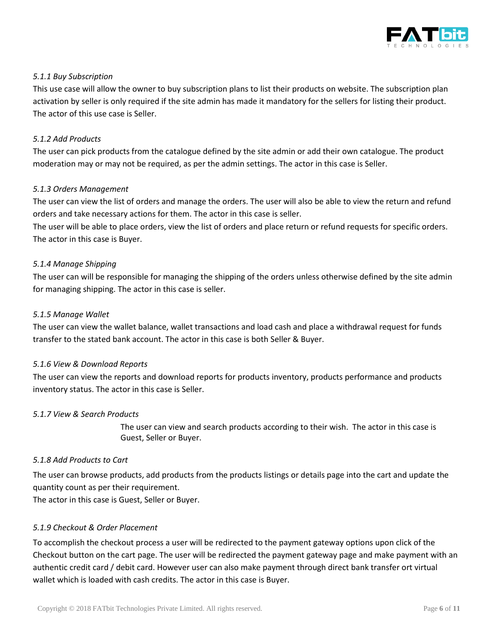

### *5.1.1 Buy Subscription*

This use case will allow the owner to buy subscription plans to list their products on website. The subscription plan activation by seller is only required if the site admin has made it mandatory for the sellers for listing their product. The actor of this use case is Seller.

### *5.1.2 Add Products*

The user can pick products from the catalogue defined by the site admin or add their own catalogue. The product moderation may or may not be required, as per the admin settings. The actor in this case is Seller.

### *5.1.3 Orders Management*

The user can view the list of orders and manage the orders. The user will also be able to view the return and refund orders and take necessary actions for them. The actor in this case is seller.

The user will be able to place orders, view the list of orders and place return or refund requests for specific orders. The actor in this case is Buyer.

### *5.1.4 Manage Shipping*

The user can will be responsible for managing the shipping of the orders unless otherwise defined by the site admin for managing shipping. The actor in this case is seller.

### *5.1.5 Manage Wallet*

The user can view the wallet balance, wallet transactions and load cash and place a withdrawal request for funds transfer to the stated bank account. The actor in this case is both Seller & Buyer.

### *5.1.6 View & Download Reports*

The user can view the reports and download reports for products inventory, products performance and products inventory status. The actor in this case is Seller.

### *5.1.7 View & Search Products*

The user can view and search products according to their wish. The actor in this case is Guest, Seller or Buyer.

### *5.1.8 Add Products to Cart*

The user can browse products, add products from the products listings or details page into the cart and update the quantity count as per their requirement.

The actor in this case is Guest, Seller or Buyer.

### *5.1.9 Checkout & Order Placement*

To accomplish the checkout process a user will be redirected to the payment gateway options upon click of the Checkout button on the cart page. The user will be redirected the payment gateway page and make payment with an authentic credit card / debit card. However user can also make payment through direct bank transfer ort virtual wallet which is loaded with cash credits. The actor in this case is Buyer.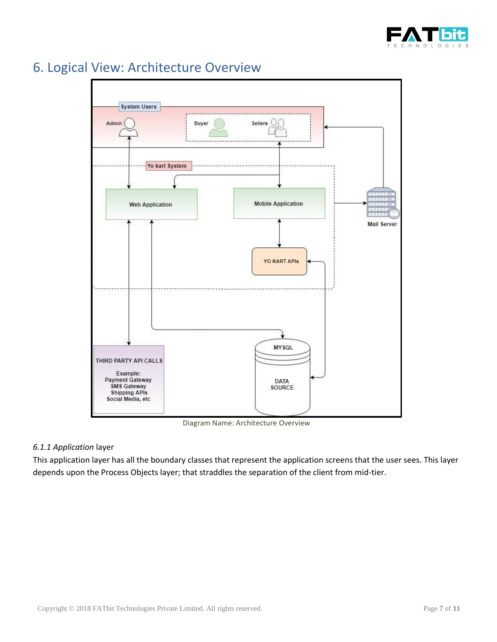



# <span id="page-6-0"></span>6. Logical View: Architecture Overview

Diagram Name: Architecture Overview

### *6.1.1 Application* layer

This application layer has all the boundary classes that represent the application screens that the user sees. This layer depends upon the Process Objects layer; that straddles the separation of the client from mid-tier.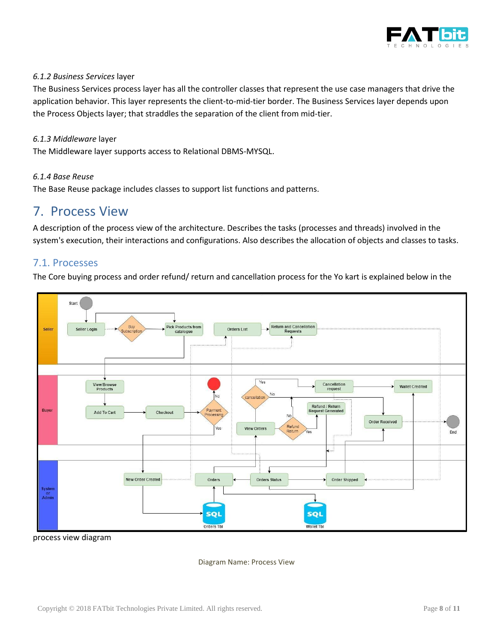

### *6.1.2 Business Services* layer

The Business Services process layer has all the controller classes that represent the use case managers that drive the application behavior. This layer represents the client-to-mid-tier border. The Business Services layer depends upon the Process Objects layer; that straddles the separation of the client from mid-tier.

#### *6.1.3 Middleware* layer

The Middleware layer supports access to Relational DBMS-MYSQL.

#### *6.1.4 Base Reuse*

The Base Reuse package includes classes to support list functions and patterns.

### <span id="page-7-0"></span>7. Process View

A description of the process view of the architecture. Describes the tasks (processes and threads) involved in the system's execution, their interactions and configurations. Also describes the allocation of objects and classes to tasks.

### <span id="page-7-1"></span>7.1. Processes

The Core buying process and order refund/ return and cancellation process for the Yo kart is explained below in the



process view diagram

Diagram Name: Process View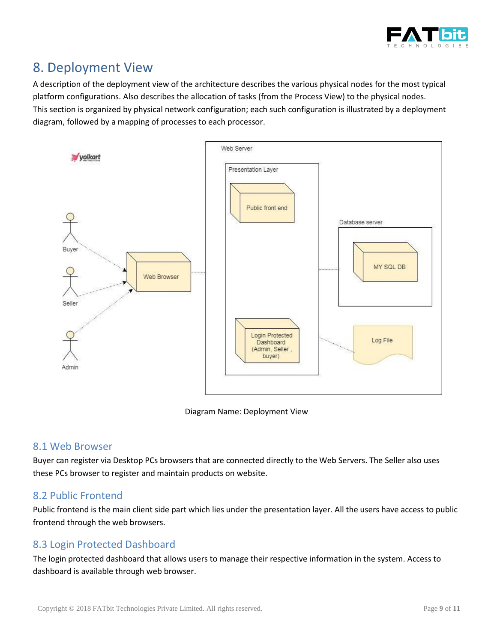

# <span id="page-8-0"></span>8. Deployment View

A description of the deployment view of the architecture describes the various physical nodes for the most typical platform configurations. Also describes the allocation of tasks (from the Process View) to the physical nodes. This section is organized by physical network configuration; each such configuration is illustrated by a deployment diagram, followed by a mapping of processes to each processor.



Diagram Name: Deployment View

### <span id="page-8-1"></span>8.1 Web Browser

Buyer can register via Desktop PCs browsers that are connected directly to the Web Servers. The Seller also uses these PCs browser to register and maintain products on website.

### <span id="page-8-2"></span>8.2 Public Frontend

Public frontend is the main client side part which lies under the presentation layer. All the users have access to public frontend through the web browsers.

### <span id="page-8-3"></span>8.3 Login Protected Dashboard

The login protected dashboard that allows users to manage their respective information in the system. Access to dashboard is available through web browser.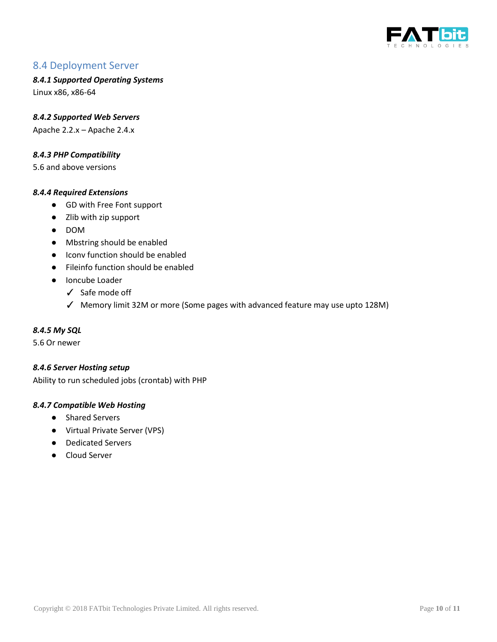

### <span id="page-9-0"></span>8.4 Deployment Server

*8.4.1 Supported Operating Systems*

Linux x86, x86-64

*8.4.2 Supported Web Servers* Apache 2.2.x – Apache 2.4.x

*8.4.3 PHP Compatibility*

5.6 and above versions

#### *8.4.4 Required Extensions*

- GD with Free Font support
- Zlib with zip support
- DOM
- Mbstring should be enabled
- Icony function should be enabled
- Fileinfo function should be enabled
- Ioncube Loader
	- ✓ Safe mode off
	- ✓ Memory limit 32M or more (Some pages with advanced feature may use upto 128M)

#### *8.4.5 My SQL*

5.6 Or newer

#### *8.4.6 Server Hosting setup*

Ability to run scheduled jobs (crontab) with PHP

#### *8.4.7 Compatible Web Hosting*

- Shared Servers
- Virtual Private Server (VPS)
- Dedicated Servers
- <span id="page-9-1"></span>● Cloud Server